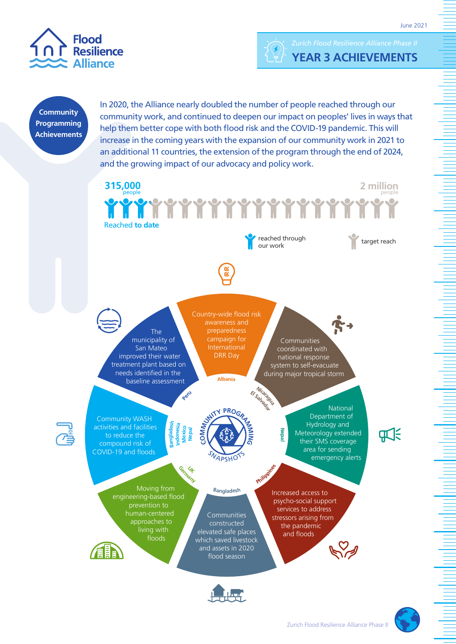





**Community Programming Achievements**  In 2020, the Alliance nearly doubled the number of people reached through our community work, and continued to deepen our impact on peoples' lives in ways that help them better cope with both flood risk and the COVID-19 pandemic. This will increase in the coming years with the expansion of our community work in 2021 to an additional 11 countries, the extension of the program through the end of 2024, and the growing impact of our advocacy and policy work.